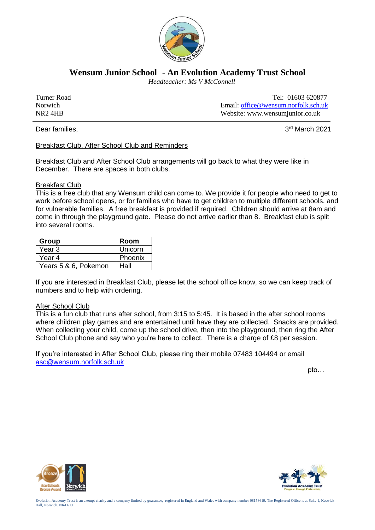

**Wensum Junior School - An Evolution Academy Trust School**

 *Headteacher: Ms V McConnell*

Turner Road Tel: 01603 620877 Norwich Email: [office@wensum.norfolk.sch.uk](mailto:office@wensum.norfolk.sch.uk) NR2 4HB Website: www.wensumjunior.co.uk

Dear families.

3rd March 2021

Breakfast Club, After School Club and Reminders

Breakfast Club and After School Club arrangements will go back to what they were like in December. There are spaces in both clubs.

## Breakfast Club

This is a free club that any Wensum child can come to. We provide it for people who need to get to work before school opens, or for families who have to get children to multiple different schools, and for vulnerable families. A free breakfast is provided if required. Children should arrive at 8am and come in through the playground gate. Please do not arrive earlier than 8. Breakfast club is split into several rooms.

| Group                | Room    |
|----------------------|---------|
| Year 3               | Unicorn |
| Year 4               | Phoenix |
| Years 5 & 6, Pokemon | Hall    |

If you are interested in Breakfast Club, please let the school office know, so we can keep track of numbers and to help with ordering.

## After School Club

This is a fun club that runs after school, from 3:15 to 5:45. It is based in the after school rooms where children play games and are entertained until have they are collected. Snacks are provided. When collecting your child, come up the school drive, then into the playground, then ring the After School Club phone and say who you're here to collect. There is a charge of £8 per session.

If you're interested in After School Club, please ring their mobile 07483 104494 or email [asc@wensum.norfolk.sch.uk](mailto:asc@wensum.norfolk.sch.uk)

pto…